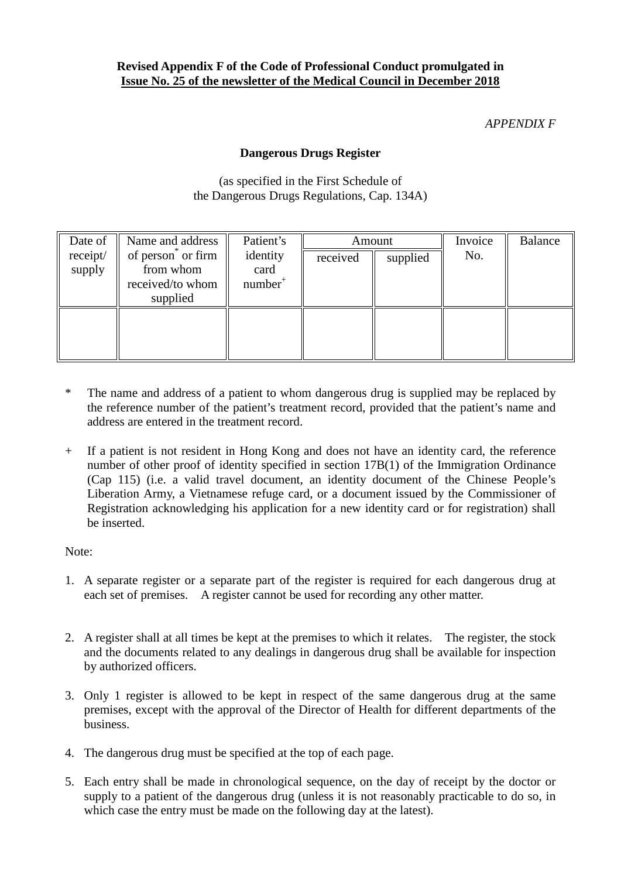## **Revised Appendix F of the Code of Professional Conduct promulgated in Issue No. 25 of the newsletter of the Medical Council in December 2018**

## *APPENDIX F*

## **Dangerous Drugs Register**

(as specified in the First Schedule of the Dangerous Drugs Regulations, Cap. 134A)

| Date of            | Name and address                                               | Patient's                      | Amount   |          | Invoice | <b>Balance</b> |
|--------------------|----------------------------------------------------------------|--------------------------------|----------|----------|---------|----------------|
| receipt/<br>supply | of person or firm<br>from whom<br>received/to whom<br>supplied | identity<br>card<br>$number^+$ | received | supplied | No.     |                |
|                    |                                                                |                                |          |          |         |                |

- \* The name and address of a patient to whom dangerous drug is supplied may be replaced by the reference number of the patient's treatment record, provided that the patient's name and address are entered in the treatment record.
- + If a patient is not resident in Hong Kong and does not have an identity card, the reference number of other proof of identity specified in section 17B(1) of the Immigration Ordinance (Cap 115) (i.e. a valid travel document, an identity document of the Chinese People's Liberation Army, a Vietnamese refuge card, or a document issued by the Commissioner of Registration acknowledging his application for a new identity card or for registration) shall be inserted.

Note:

- 1. A separate register or a separate part of the register is required for each dangerous drug at each set of premises. A register cannot be used for recording any other matter.
- 2. A register shall at all times be kept at the premises to which it relates. The register, the stock and the documents related to any dealings in dangerous drug shall be available for inspection by authorized officers.
- 3. Only 1 register is allowed to be kept in respect of the same dangerous drug at the same premises, except with the approval of the Director of Health for different departments of the business.
- 4. The dangerous drug must be specified at the top of each page.
- 5. Each entry shall be made in chronological sequence, on the day of receipt by the doctor or supply to a patient of the dangerous drug (unless it is not reasonably practicable to do so, in which case the entry must be made on the following day at the latest).